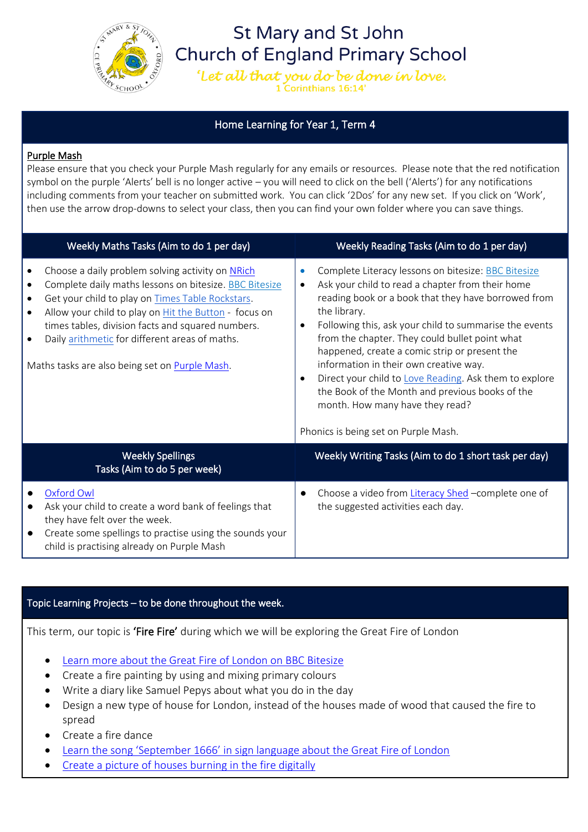

# **St Mary and St John Church of England Primary School**

'Let all that you do be done in love. **Corinthians 16:14** 

# Home Learning for Year 1, Term 4

## Purple Mash

Please ensure that you check your Purple Mash regularly for any emails or resources. Please note that the red notification symbol on the purple 'Alerts' bell is no longer active – you will need to click on the bell ('Alerts') for any notifications including comments from your teacher on submitted work. You can click '2Dos' for any new set. If you click on 'Work', then use the arrow drop-downs to select your class, then you can find your own folder where you can save things.

| Weekly Maths Tasks (Aim to do 1 per day)                                                                                                                                                                                                                                                                                                                                                                                                          | Weekly Reading Tasks (Aim to do 1 per day)                                                                                                                                                                                                                                                                                                                                                                                                                                                                                                                                                              |
|---------------------------------------------------------------------------------------------------------------------------------------------------------------------------------------------------------------------------------------------------------------------------------------------------------------------------------------------------------------------------------------------------------------------------------------------------|---------------------------------------------------------------------------------------------------------------------------------------------------------------------------------------------------------------------------------------------------------------------------------------------------------------------------------------------------------------------------------------------------------------------------------------------------------------------------------------------------------------------------------------------------------------------------------------------------------|
| Choose a daily problem solving activity on NRich<br>$\bullet$<br>Complete daily maths lessons on bitesize. BBC Bitesize<br>$\bullet$<br>Get your child to play on Times Table Rockstars.<br>$\bullet$<br>Allow your child to play on Hit the Button - focus on<br>$\bullet$<br>times tables, division facts and squared numbers.<br>Daily arithmetic for different areas of maths.<br>$\bullet$<br>Maths tasks are also being set on Purple Mash. | Complete Literacy lessons on bitesize: BBC Bitesize<br>$\bullet$<br>Ask your child to read a chapter from their home<br>reading book or a book that they have borrowed from<br>the library.<br>Following this, ask your child to summarise the events<br>$\bullet$<br>from the chapter. They could bullet point what<br>happened, create a comic strip or present the<br>information in their own creative way.<br>Direct your child to Love Reading. Ask them to explore<br>the Book of the Month and previous books of the<br>month. How many have they read?<br>Phonics is being set on Purple Mash. |
| <b>Weekly Spellings</b><br>Tasks (Aim to do 5 per week)                                                                                                                                                                                                                                                                                                                                                                                           | Weekly Writing Tasks (Aim to do 1 short task per day)                                                                                                                                                                                                                                                                                                                                                                                                                                                                                                                                                   |
| Oxford Owl<br>Ask your child to create a word bank of feelings that<br>they have felt over the week.<br>Create some spellings to practise using the sounds your<br>child is practising already on Purple Mash                                                                                                                                                                                                                                     | Choose a video from Literacy Shed - complete one of<br>$\bullet$<br>the suggested activities each day.                                                                                                                                                                                                                                                                                                                                                                                                                                                                                                  |

#### Topic Learning Projects – to be done throughout the week.

This term, our topic is 'Fire Fire' during which we will be exploring the Great Fire of London

- [Learn more about the Great Fire of London on BBC Bitesize](https://www.bbc.co.uk/teach/class-clips-video/history-ks1-the-great-fire-of-london-home/zph4g7h)
- Create a fire painting by using and mixing primary colours
- Write a diary like Samuel Pepys about what you do in the day
- Design a new type of house for London, instead of the houses made of wood that caused the fire to spread
- Create a fire dance
- [Learn the song 'September 1666' in sign language about the Great Fire of London](https://www.youtube.com/watch?v=J5eVlKWSHAA)
- [Create a picture of houses burning in the fire digitally](https://www.purplemash.com/#app/pap/history/greatfire)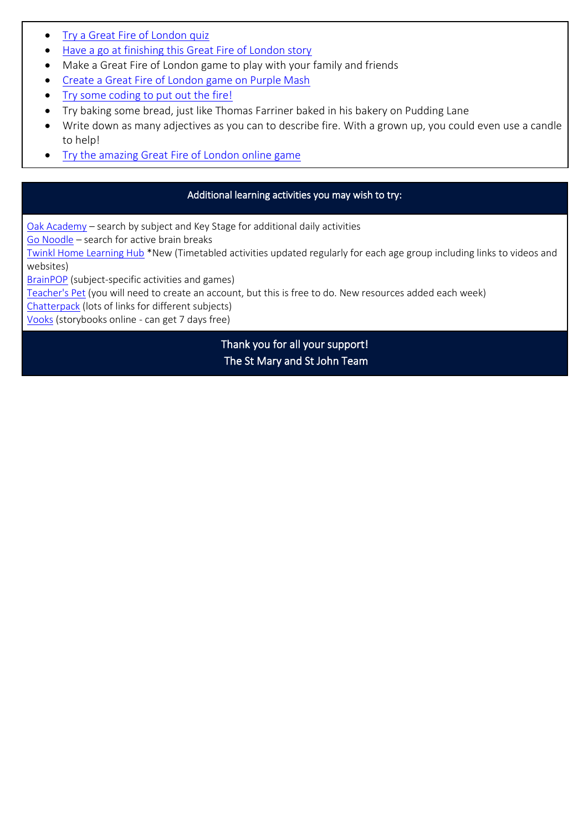- [Try a Great Fire of London quiz](https://www.purplemash.com/#app/quiz/great_fire_london_quiz_project_pack)
- [Have a go at finishing this Great Fire of London story](https://www.purplemash.com/#app/tools/2cas2_GFL_project_pack)
- Make a Great Fire of London game to play with your family and friends
- [Create a Great Fire of London game on Purple Mash](https://www.purplemash.com/#app/tools/2DIY3D_GFL_project_pack)
- [Try some coding to put out the fire!](https://www.purplemash.com/app/code/examples/gfl_2code_projectpack)
- Try baking some bread, just like Thomas Farriner baked in his bakery on Pudding Lane
- Write down as many adjectives as you can to describe fire. With a grown up, you could even use a candle to help!
- [Try the amazing Great Fire of London online game](https://www.fireoflondon.org.uk/game/)

## Additional learning activities you may wish to try:

[Oak Academy](https://classroom.thenational.academy/subjects-by-key-stage) – search by subject and Key Stage for additional daily activities

[Go Noodle](https://www.gonoodle.com/) – search for active brain breaks

[Twinkl Home Learning Hub](https://www.twinkl.co.uk/home-learning-hub) \*New (Timetabled activities updated regularly for each age group including links to videos and websites)

[BrainPOP](https://www.brainpop.com/) (subject-specific activities and games)

[Teacher's Pet](https://tpet.co.uk/latest-resources/) (you will need to create an account, but this is free to do. New resources added each week)

[Chatterpack](https://chatterpack.net/blogs/blog/resources-list-for-home-learning) (lots of links for different subjects)

[Vooks](https://www.vooks.com/) (storybooks online - can get 7 days free)

Thank you for all your support! The St Mary and St John Team